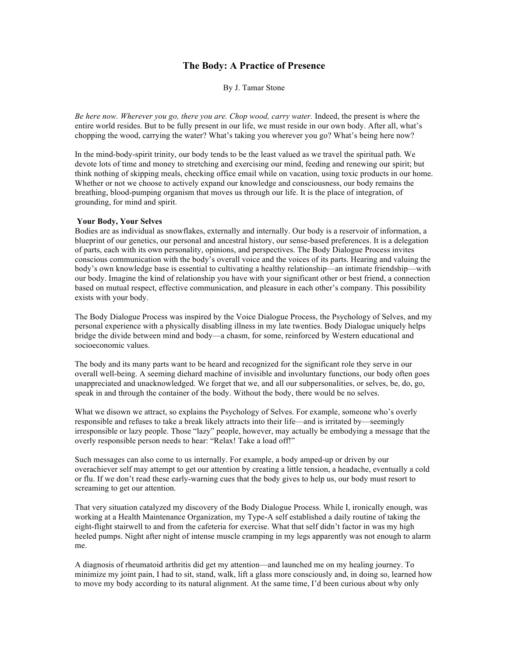## **The Body: A Practice of Presence**

By J. Tamar Stone

*Be here now. Wherever you go, there you are. Chop wood, carry water.* Indeed, the present is where the entire world resides. But to be fully present in our life, we must reside in our own body. After all, what's chopping the wood, carrying the water? What's taking you wherever you go? What's being here now?

In the mind-body-spirit trinity, our body tends to be the least valued as we travel the spiritual path. We devote lots of time and money to stretching and exercising our mind, feeding and renewing our spirit; but think nothing of skipping meals, checking office email while on vacation, using toxic products in our home. Whether or not we choose to actively expand our knowledge and consciousness, our body remains the breathing, blood-pumping organism that moves us through our life. It is the place of integration, of grounding, for mind and spirit.

## **Your Body, Your Selves**

Bodies are as individual as snowflakes, externally and internally. Our body is a reservoir of information, a blueprint of our genetics, our personal and ancestral history, our sense-based preferences. It is a delegation of parts, each with its own personality, opinions, and perspectives. The Body Dialogue Process invites conscious communication with the body's overall voice and the voices of its parts. Hearing and valuing the body's own knowledge base is essential to cultivating a healthy relationship—an intimate friendship—with our body. Imagine the kind of relationship you have with your significant other or best friend, a connection based on mutual respect, effective communication, and pleasure in each other's company. This possibility exists with your body.

The Body Dialogue Process was inspired by the Voice Dialogue Process, the Psychology of Selves, and my personal experience with a physically disabling illness in my late twenties. Body Dialogue uniquely helps bridge the divide between mind and body—a chasm, for some, reinforced by Western educational and socioeconomic values.

The body and its many parts want to be heard and recognized for the significant role they serve in our overall well-being. A seeming diehard machine of invisible and involuntary functions, our body often goes unappreciated and unacknowledged. We forget that we, and all our subpersonalities, or selves, be, do, go, speak in and through the container of the body. Without the body, there would be no selves.

What we disown we attract, so explains the Psychology of Selves. For example, someone who's overly responsible and refuses to take a break likely attracts into their life—and is irritated by—seemingly irresponsible or lazy people. Those "lazy" people, however, may actually be embodying a message that the overly responsible person needs to hear: "Relax! Take a load off!"

Such messages can also come to us internally. For example, a body amped-up or driven by our overachiever self may attempt to get our attention by creating a little tension, a headache, eventually a cold or flu. If we don't read these early-warning cues that the body gives to help us, our body must resort to screaming to get our attention.

That very situation catalyzed my discovery of the Body Dialogue Process. While I, ironically enough, was working at a Health Maintenance Organization, my Type-A self established a daily routine of taking the eight-flight stairwell to and from the cafeteria for exercise. What that self didn't factor in was my high heeled pumps. Night after night of intense muscle cramping in my legs apparently was not enough to alarm me.

A diagnosis of rheumatoid arthritis did get my attention—and launched me on my healing journey. To minimize my joint pain, I had to sit, stand, walk, lift a glass more consciously and, in doing so, learned how to move my body according to its natural alignment. At the same time, I'd been curious about why only